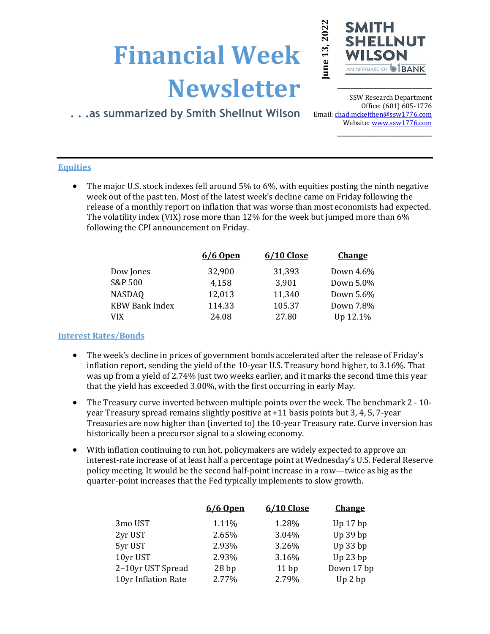# **Financial Week Newsletter**



**\_\_\_\_\_\_\_\_\_\_\_\_\_\_\_\_\_\_\_\_\_\_\_\_\_\_\_\_\_**

# **. . .as summarized by Smith Shellnut Wilson**

SSW Research Department Office: (601) 605-1776 Email: chad.mckeithen@ssw1776.com Website[: www.ssw1776.com](http://www.ssw1776.com/) **\_\_\_\_\_\_\_\_\_\_\_\_\_\_\_\_\_\_\_\_\_\_\_\_\_\_\_\_\_**

## **Equities**

• The major U.S. stock indexes fell around 5% to 6%, with equities posting the ninth negative week out of the past ten. Most of the latest week's decline came on Friday following the release of a monthly report on inflation that was worse than most economists had expected. The volatility index (VIX) rose more than 12% for the week but jumped more than 6% following the CPI announcement on Friday.

| 6/6 Open | 6/10 Close | <b>Change</b> |
|----------|------------|---------------|
| 32,900   | 31,393     | Down 4.6%     |
| 4,158    | 3,901      | Down 5.0%     |
| 12,013   | 11,340     | Down 5.6%     |
| 114.33   | 105.37     | Down 7.8%     |
| 24.08    | 27.80      | Up 12.1%      |
|          |            |               |

### **Interest Rates/Bonds**

- The week's decline in prices of government bonds accelerated after the release of Friday's inflation report, sending the yield of the 10-year U.S. Treasury bond higher, to 3.16%. That was up from a yield of 2.74% just two weeks earlier, and it marks the second time this year that the yield has exceeded 3.00%, with the first occurring in early May.
- The Treasury curve inverted between multiple points over the week. The benchmark 2 10year Treasury spread remains slightly positive at +11 basis points but 3, 4, 5, 7-year Treasuries are now higher than (inverted to) the 10-year Treasury rate. Curve inversion has historically been a precursor signal to a slowing economy.
- With inflation continuing to run hot, policymakers are widely expected to approve an interest-rate increase of at least half a percentage point at Wednesday's U.S. Federal Reserve policy meeting. It would be the second half-point increase in a row—twice as big as the quarter-point increases that the Fed typically implements to slow growth.

| 6/6 Open | 6/10 Close | <b>Change</b> |
|----------|------------|---------------|
| 1.11%    | 1.28%      | Up $17$ bp    |
| 2.65%    | 3.04%      | Up 39 bp      |
| 2.93%    | 3.26%      | Up 33 bp      |
| 2.93%    | 3.16%      | $Up$ 23 $bp$  |
| 28bp     | 11bp       | Down 17 bp    |
| 2.77%    | 2.79%      | Up 2 bp       |
|          |            |               |